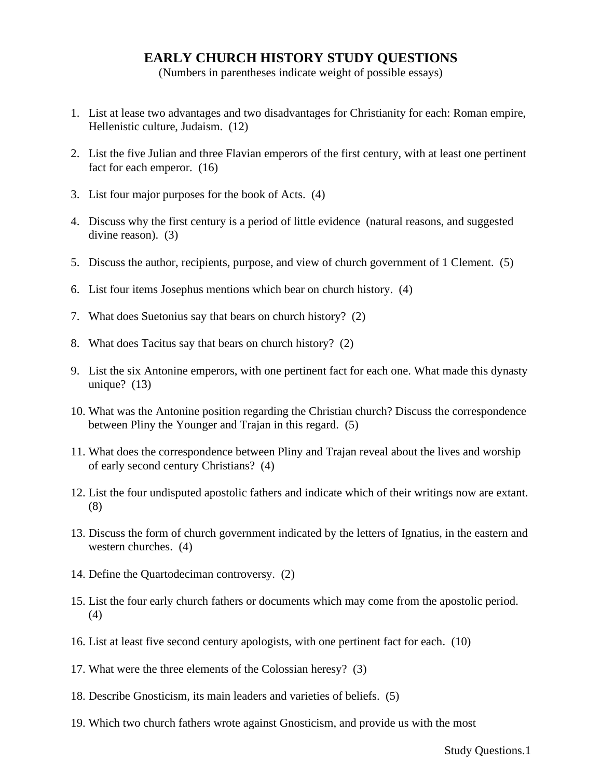## **EARLY CHURCH HISTORY STUDY QUESTIONS**

(Numbers in parentheses indicate weight of possible essays)

- 1. List at lease two advantages and two disadvantages for Christianity for each: Roman empire, Hellenistic culture, Judaism. (12)
- 2. List the five Julian and three Flavian emperors of the first century, with at least one pertinent fact for each emperor. (16)
- 3. List four major purposes for the book of Acts. (4)
- 4. Discuss why the first century is a period of little evidence (natural reasons, and suggested divine reason). (3)
- 5. Discuss the author, recipients, purpose, and view of church government of 1 Clement. (5)
- 6. List four items Josephus mentions which bear on church history. (4)
- 7. What does Suetonius say that bears on church history? (2)
- 8. What does Tacitus say that bears on church history? (2)
- 9. List the six Antonine emperors, with one pertinent fact for each one. What made this dynasty unique? (13)
- 10. What was the Antonine position regarding the Christian church? Discuss the correspondence between Pliny the Younger and Trajan in this regard. (5)
- 11. What does the correspondence between Pliny and Trajan reveal about the lives and worship of early second century Christians? (4)
- 12. List the four undisputed apostolic fathers and indicate which of their writings now are extant. (8)
- 13. Discuss the form of church government indicated by the letters of Ignatius, in the eastern and western churches. (4)
- 14. Define the Quartodeciman controversy. (2)
- 15. List the four early church fathers or documents which may come from the apostolic period. (4)
- 16. List at least five second century apologists, with one pertinent fact for each. (10)
- 17. What were the three elements of the Colossian heresy? (3)
- 18. Describe Gnosticism, its main leaders and varieties of beliefs. (5)
- 19. Which two church fathers wrote against Gnosticism, and provide us with the most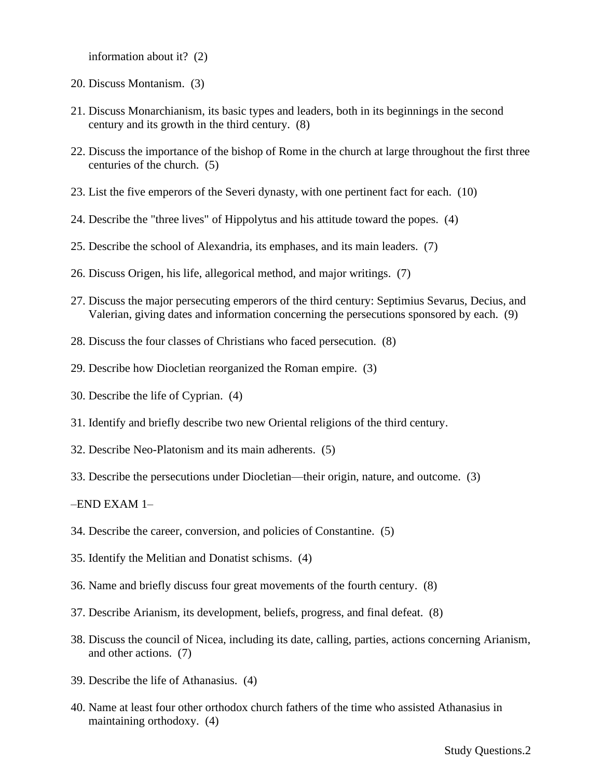information about it? (2)

- 20. Discuss Montanism. (3)
- 21. Discuss Monarchianism, its basic types and leaders, both in its beginnings in the second century and its growth in the third century. (8)
- 22. Discuss the importance of the bishop of Rome in the church at large throughout the first three centuries of the church. (5)
- 23. List the five emperors of the Severi dynasty, with one pertinent fact for each. (10)
- 24. Describe the "three lives" of Hippolytus and his attitude toward the popes. (4)
- 25. Describe the school of Alexandria, its emphases, and its main leaders. (7)
- 26. Discuss Origen, his life, allegorical method, and major writings. (7)
- 27. Discuss the major persecuting emperors of the third century: Septimius Sevarus, Decius, and Valerian, giving dates and information concerning the persecutions sponsored by each. (9)
- 28. Discuss the four classes of Christians who faced persecution. (8)
- 29. Describe how Diocletian reorganized the Roman empire. (3)
- 30. Describe the life of Cyprian. (4)
- 31. Identify and briefly describe two new Oriental religions of the third century.
- 32. Describe Neo-Platonism and its main adherents. (5)
- 33. Describe the persecutions under Diocletian—their origin, nature, and outcome. (3)

–END EXAM 1–

- 34. Describe the career, conversion, and policies of Constantine. (5)
- 35. Identify the Melitian and Donatist schisms. (4)
- 36. Name and briefly discuss four great movements of the fourth century. (8)
- 37. Describe Arianism, its development, beliefs, progress, and final defeat. (8)
- 38. Discuss the council of Nicea, including its date, calling, parties, actions concerning Arianism, and other actions. (7)
- 39. Describe the life of Athanasius. (4)
- 40. Name at least four other orthodox church fathers of the time who assisted Athanasius in maintaining orthodoxy. (4)